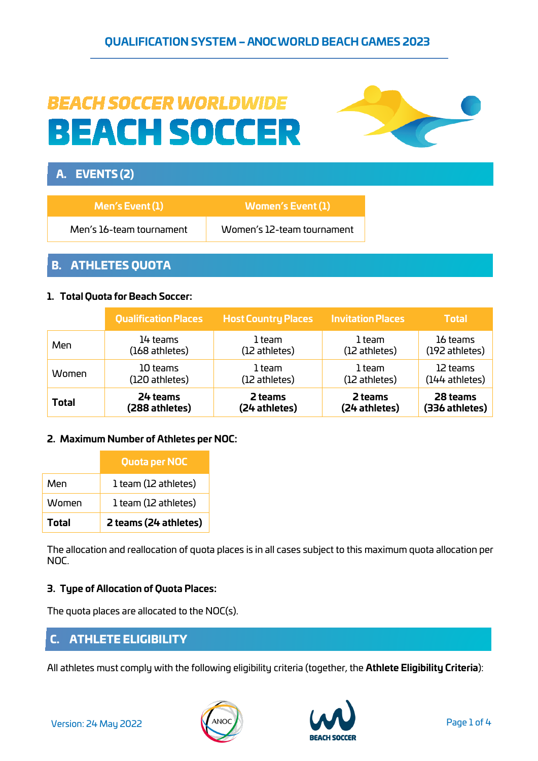# **BEACH SOCCER WORLDWIDE BEACH SOCCER**



# A. EVENTS (2)

| $M$ en's Event $(1)$     | Women's Event (1) \        |
|--------------------------|----------------------------|
| Men's 16-team tournament | Women's 12-team tournament |

## B. ATHLETES QUOTA

#### **1. Total Quota for Beach Soccer:**

|              | <b>Qualification Places</b> | <b>Host Country Places</b> | <b>Invitation Places</b> | <b>Total</b>   |
|--------------|-----------------------------|----------------------------|--------------------------|----------------|
| Men          | 14 teams                    | 1 team                     | 1 team                   | 16 teams       |
|              | (168 athletes)              | (12 athletes)              | (12 athletes)            | (192 athletes) |
| Women        | 10 teams                    | 1 team                     | 1 team                   | 12 teams       |
|              | (120 athletes)              | (12 athletes)              | (12 athletes)            | (144 athletes) |
| <b>Total</b> | 24 teams                    | 2 teams                    | 2 teams                  | 28 teams       |
|              | (288 athletes)              | (24 athletes)              | (24 athletes)            | (336 athletes) |

#### **2. Maximum Number of Athletes per NOC:**

|       | Quota per NOC         |
|-------|-----------------------|
| Men   | 1 team (12 athletes)  |
| Women | 1 team (12 athletes)  |
| Total | 2 teams (24 athletes) |

The allocation and reallocation of quota places is in all cases subject to this maximum quota allocation per NOC.

#### **3. Type of Allocation of Quota Places:**

The quota places are allocated to the NOC(s).

## C. ATHLETE ELIGIBILITY

All athletes must comply with the following eligibility criteria (together, the **Athlete Eligibility Criteria**):



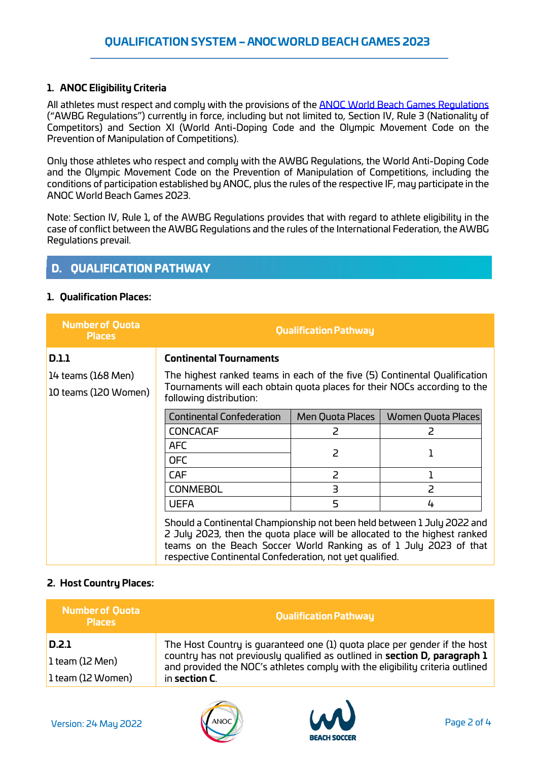#### **1. ANOC Eligibility Criteria**

All athletes must respect and comply with the provisions of the **ANOC World [Beach Games Regulations](https://www.anocolympic.org/wp-content/uploads/2021/09/AWBGRegulations-1.pdf)** ("AWBG Regulations") currently in force, including but not limited to, Section IV, Rule 3 (Nationality of Competitors) and Section XI (World Anti-Doping Code and the Olympic Movement Code on the Prevention of Manipulation of Competitions).

Only those athletes who respect and comply with the AWBG Regulations, the World Anti-Doping Code and the Olympic Movement Code on the Prevention of Manipulation of Competitions, including the conditions of participation established by ANOC, plus the rules of the respective IF, may participate in the ANOC World Beach Games 2023.

Note: Section IV, Rule 1, of the AWBG Regulations provides that with regard to athlete eligibility in the case of conflict between the AWBG Regulations and the rules of the International Federation, the AWBG Regulations prevail.

## D. QUALIFICATION PATHWAY

#### **1. Qualification Places:**

| <b>Number of Quota</b><br><b>Places</b> |                                                                                                                                                                                                                                                                                       | <b>Qualification Pathway</b> |                    |
|-----------------------------------------|---------------------------------------------------------------------------------------------------------------------------------------------------------------------------------------------------------------------------------------------------------------------------------------|------------------------------|--------------------|
| <b>D.1.1</b>                            | <b>Continental Tournaments</b>                                                                                                                                                                                                                                                        |                              |                    |
| 14 teams (168 Men)                      | The highest ranked teams in each of the five (5) Continental Qualification                                                                                                                                                                                                            |                              |                    |
| 10 teams (120 Women)                    | Tournaments will each obtain quota places for their NOCs according to the<br>following distribution:                                                                                                                                                                                  |                              |                    |
|                                         | <b>Continental Confederation</b>                                                                                                                                                                                                                                                      | Men Quota Places             | Women Quota Places |
|                                         | <b>CONCACAF</b>                                                                                                                                                                                                                                                                       | 2                            | 2                  |
|                                         | <b>AFC</b>                                                                                                                                                                                                                                                                            | $\overline{2}$               |                    |
|                                         | <b>OFC</b>                                                                                                                                                                                                                                                                            |                              |                    |
|                                         | <b>CAF</b>                                                                                                                                                                                                                                                                            | 2                            |                    |
|                                         | <b>CONMEBOL</b>                                                                                                                                                                                                                                                                       | $\overline{3}$               | $\overline{2}$     |
|                                         | <b>UEFA</b>                                                                                                                                                                                                                                                                           | 5                            | 4                  |
|                                         | Should a Continental Championship not been held between 1 July 2022 and<br>2 July 2023, then the quota place will be allocated to the highest ranked<br>teams on the Beach Soccer World Ranking as of 1 July 2023 of that<br>respective Continental Confederation, not yet qualified. |                              |                    |

#### **2. Host Country Places:**

| <b>Number of Quota</b><br><b>Places</b> | <b>Qualification Pathway</b>                                                                                                                                                                                                             |
|-----------------------------------------|------------------------------------------------------------------------------------------------------------------------------------------------------------------------------------------------------------------------------------------|
| D.2.1<br>$\vert$ 1 team (12 Men)        | The Host Country is quaranteed one (1) quota place per gender if the host<br>country has not previously qualified as outlined in section D, paragraph 1<br>and provided the NOC's athletes comply with the eligibility criteria outlined |
| 1 team (12 Women)                       | in section C.                                                                                                                                                                                                                            |



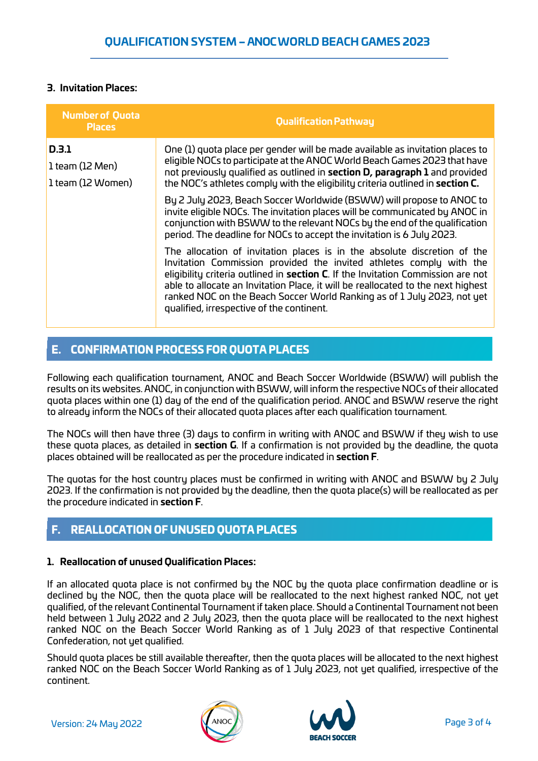#### **3. Invitation Places:**

| <b>Number of Quota</b><br><b>Places</b>       | <b>Qualification Pathway</b>                                                                                                                                                                                                                                                                                                                                                                                                                    |
|-----------------------------------------------|-------------------------------------------------------------------------------------------------------------------------------------------------------------------------------------------------------------------------------------------------------------------------------------------------------------------------------------------------------------------------------------------------------------------------------------------------|
| D.3.1<br>1 team (12 Men)<br>1 team (12 Women) | One (1) quota place per gender will be made available as invitation places to<br>eligible NOCs to participate at the ANOC World Beach Games 2023 that have<br>not previously qualified as outlined in section D, paragraph 1 and provided<br>the NOC's athletes comply with the eligibility criteria outlined in section C.                                                                                                                     |
|                                               | By 2 July 2023, Beach Soccer Worldwide (BSWW) will propose to ANOC to<br>invite eligible NOCs. The invitation places will be communicated by ANOC in<br>conjunction with BSWW to the relevant NOCs by the end of the qualification<br>period. The deadline for NOCs to accept the invitation is 6 July 2023.                                                                                                                                    |
|                                               | The allocation of invitation places is in the absolute discretion of the<br>Invitation Commission provided the invited athletes comply with the<br>eligibility criteria outlined in section C. If the Invitation Commission are not<br>able to allocate an Invitation Place, it will be reallocated to the next highest<br>ranked NOC on the Beach Soccer World Ranking as of 1 July 2023, not yet<br>qualified, irrespective of the continent. |

## E. CONFIRMATION PROCESS FOR QUOTA PLACES

Following each qualification tournament, ANOC and Beach Soccer Worldwide (BSWW) will publish the results on its websites. ANOC, in conjunction with BSWW, will inform the respective NOCs of their allocated quota places within one (1) day of the end of the qualification period. ANOC and BSWW reserve the right to already inform the NOCs of their allocated quota places after each qualification tournament.

The NOCs will then have three (3) days to confirm in writing with ANOC and BSWW if they wish to use these quota places, as detailed in **section G**. If a confirmation is not provided by the deadline, the quota places obtained will be reallocated as per the procedure indicated in **section F**.

The quotas for the host country places must be confirmed in writing with ANOC and BSWW by 2 July 2023. If the confirmation is not provided by the deadline, then the quota place(s) will be reallocated as per the procedure indicated in **section F**.

# F. REALLOCATION OF UNUSED QUOTA PLACES

#### **1. Reallocation of unused Qualification Places:**

If an allocated quota place is not confirmed by the NOC by the quota place confirmation deadline or is declined by the NOC, then the quota place will be reallocated to the next highest ranked NOC, not yet qualified, of the relevant Continental Tournament if taken place. Should a Continental Tournament not been held between 1 July 2022 and 2 July 2023, then the quota place will be reallocated to the next highest ranked NOC on the Beach Soccer World Ranking as of 1 July 2023 of that respective Continental Confederation, not yet qualified.

Should quota places be still available thereafter, then the quota places will be allocated to the next highest ranked NOC on the Beach Soccer World Ranking as of 1 July 2023, not yet qualified, irrespective of the continent.